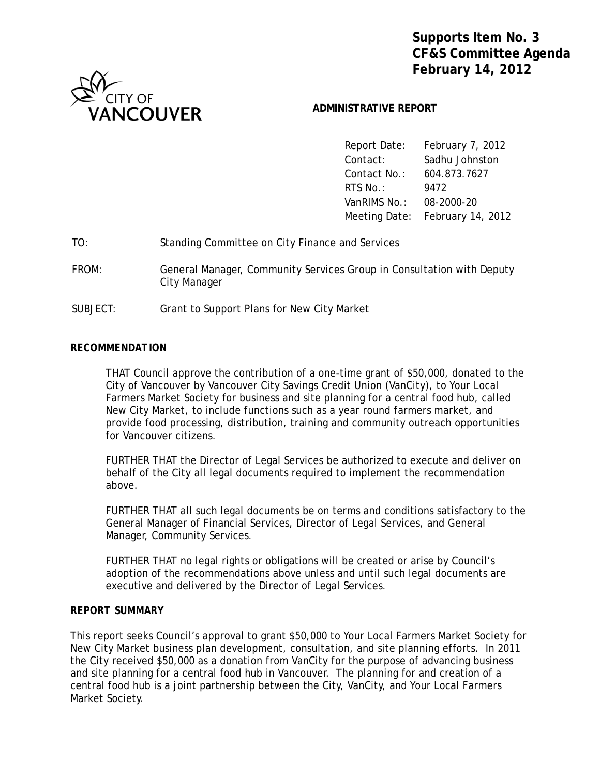**Supports Item No. 3 CF&S Committee Agenda February 14, 2012**



# **ADMINISTRATIVE REPORT**

 Report Date: February 7, 2012 Contact: Sadhu Johnston Contact No.: 604.873.7627 **RTS No.:** 9472 VanRIMS No.: 08-2000-20 Meeting Date: February 14, 2012

| TO: | Standing Committee on City Finance and Services |  |  |
|-----|-------------------------------------------------|--|--|
|-----|-------------------------------------------------|--|--|

- FROM: General Manager, Community Services Group in Consultation with Deputy City Manager
- SUBJECT: Grant to Support Plans for New City Market

### *RECOMMENDATION*

THAT Council approve the contribution of a one-time grant of \$50,000, donated to the City of Vancouver by Vancouver City Savings Credit Union (VanCity), to Your Local Farmers Market Society for business and site planning for a central food hub, called New City Market, to include functions such as a year round farmers market, and provide food processing, distribution, training and community outreach opportunities for Vancouver citizens.

FURTHER THAT the Director of Legal Services be authorized to execute and deliver on behalf of the City all legal documents required to implement the recommendation above.

FURTHER THAT all such legal documents be on terms and conditions satisfactory to the General Manager of Financial Services, Director of Legal Services, and General Manager, Community Services.

FURTHER THAT no legal rights or obligations will be created or arise by Council's adoption of the recommendations above unless and until such legal documents are executive and delivered by the Director of Legal Services.

### *REPORT SUMMARY*

This report seeks Council's approval to grant \$50,000 to Your Local Farmers Market Society for New City Market business plan development, consultation, and site planning efforts. In 2011 the City received \$50,000 as a donation from VanCity for the purpose of advancing business and site planning for a central food hub in Vancouver. The planning for and creation of a central food hub is a joint partnership between the City, VanCity, and Your Local Farmers Market Society.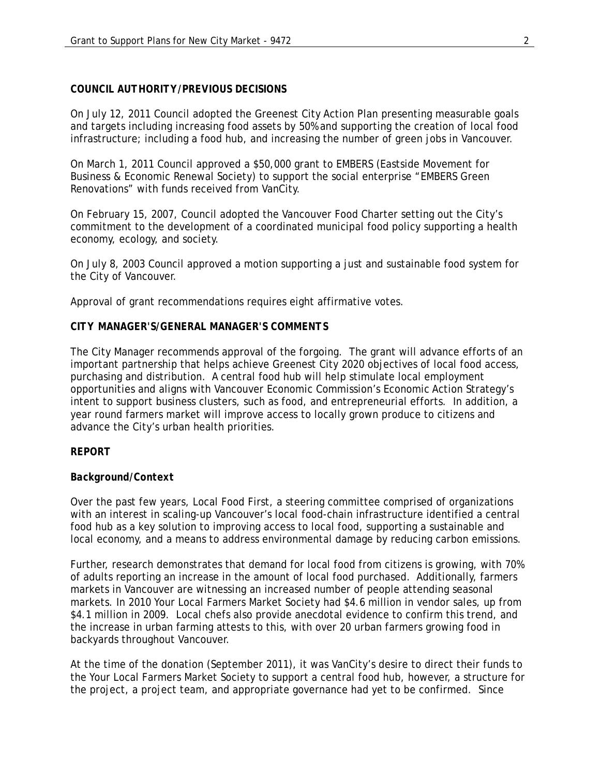# *COUNCIL AUTHORITY/PREVIOUS DECISIONS*

On July 12, 2011 Council adopted the Greenest City Action Plan presenting measurable goals and targets including increasing food assets by 50% and supporting the creation of local food infrastructure; including a food hub, and increasing the number of green jobs in Vancouver.

On March 1, 2011 Council approved a \$50,000 grant to EMBERS (Eastside Movement for Business & Economic Renewal Society) to support the social enterprise "EMBERS Green Renovations" with funds received from VanCity.

On February 15, 2007, Council adopted the Vancouver Food Charter setting out the City's commitment to the development of a coordinated municipal food policy supporting a health economy, ecology, and society.

On July 8, 2003 Council approved a motion supporting a just and sustainable food system for the City of Vancouver.

Approval of grant recommendations requires eight affirmative votes.

### *CITY MANAGER'S/GENERAL MANAGER'S COMMENTS*

The City Manager recommends approval of the forgoing. The grant will advance efforts of an important partnership that helps achieve Greenest City 2020 objectives of local food access, purchasing and distribution. A central food hub will help stimulate local employment opportunities and aligns with Vancouver Economic Commission's Economic Action Strategy's intent to support business clusters, such as food, and entrepreneurial efforts. In addition, a year round farmers market will improve access to locally grown produce to citizens and advance the City's urban health priorities.

### *REPORT*

# *Background/Context*

Over the past few years, Local Food First, a steering committee comprised of organizations with an interest in scaling-up Vancouver's local food-chain infrastructure identified a central food hub as a key solution to improving access to local food, supporting a sustainable and local economy, and a means to address environmental damage by reducing carbon emissions.

Further, research demonstrates that demand for local food from citizens is growing, with 70% of adults reporting an increase in the amount of local food purchased. Additionally, farmers markets in Vancouver are witnessing an increased number of people attending seasonal markets. In 2010 Your Local Farmers Market Society had \$4.6 million in vendor sales, up from \$4.1 million in 2009. Local chefs also provide anecdotal evidence to confirm this trend, and the increase in urban farming attests to this, with over 20 urban farmers growing food in backyards throughout Vancouver.

At the time of the donation (September 2011), it was VanCity's desire to direct their funds to the Your Local Farmers Market Society to support a central food hub, however, a structure for the project, a project team, and appropriate governance had yet to be confirmed. Since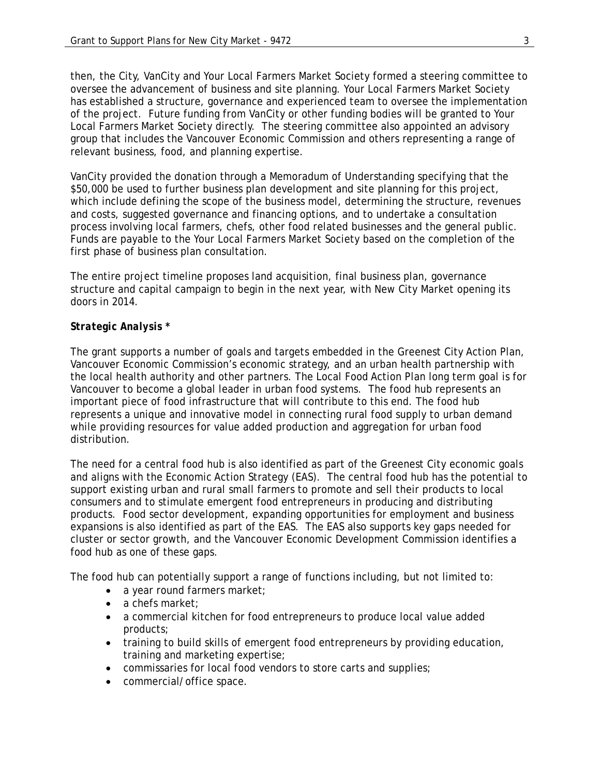then, the City, VanCity and Your Local Farmers Market Society formed a steering committee to oversee the advancement of business and site planning. Your Local Farmers Market Society has established a structure, governance and experienced team to oversee the implementation of the project. Future funding from VanCity or other funding bodies will be granted to Your Local Farmers Market Society directly. The steering committee also appointed an advisory group that includes the Vancouver Economic Commission and others representing a range of relevant business, food, and planning expertise.

VanCity provided the donation through a Memoradum of Understanding specifying that the \$50,000 be used to further business plan development and site planning for this project, which include defining the scope of the business model, determining the structure, revenues and costs, suggested governance and financing options, and to undertake a consultation process involving local farmers, chefs, other food related businesses and the general public. Funds are payable to the Your Local Farmers Market Society based on the completion of the first phase of business plan consultation.

The entire project timeline proposes land acquisition, final business plan, governance structure and capital campaign to begin in the next year, with New City Market opening its doors in 2014.

# *Strategic Analysis \**

The grant supports a number of goals and targets embedded in the Greenest City Action Plan, Vancouver Economic Commission's economic strategy, and an urban health partnership with the local health authority and other partners. The Local Food Action Plan long term goal is for Vancouver to become a global leader in urban food systems. The food hub represents an important piece of food infrastructure that will contribute to this end. The food hub represents a unique and innovative model in connecting rural food supply to urban demand while providing resources for value added production and aggregation for urban food distribution.

The need for a central food hub is also identified as part of the Greenest City economic goals and aligns with the Economic Action Strategy (EAS). The central food hub has the potential to support existing urban and rural small farmers to promote and sell their products to local consumers and to stimulate emergent food entrepreneurs in producing and distributing products. Food sector development, expanding opportunities for employment and business expansions is also identified as part of the EAS. The EAS also supports key gaps needed for cluster or sector growth, and the Vancouver Economic Development Commission identifies a food hub as one of these gaps.

The food hub can potentially support a range of functions including, but not limited to:

- a year round farmers market:
- a chefs market:
- a commercial kitchen for food entrepreneurs to produce local value added products;
- training to build skills of emergent food entrepreneurs by providing education, training and marketing expertise;
- commissaries for local food vendors to store carts and supplies;
- commercial/office space.